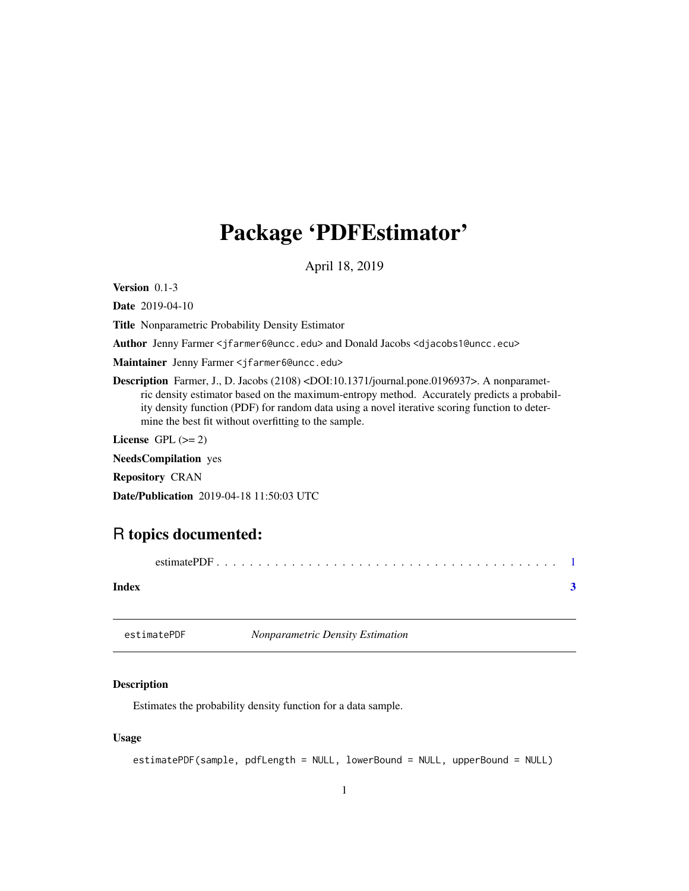## <span id="page-0-0"></span>Package 'PDFEstimator'

April 18, 2019

Version 0.1-3

Date 2019-04-10

Title Nonparametric Probability Density Estimator

Author Jenny Farmer <jfarmer6@uncc.edu> and Donald Jacobs <djacobs1@uncc.ecu>

Maintainer Jenny Farmer <jfarmer6@uncc.edu>

Description Farmer, J., D. Jacobs (2108) <DOI:10.1371/journal.pone.0196937>. A nonparametric density estimator based on the maximum-entropy method. Accurately predicts a probability density function (PDF) for random data using a novel iterative scoring function to determine the best fit without overfitting to the sample.

License GPL  $(>= 2)$ 

NeedsCompilation yes

Repository CRAN

Date/Publication 2019-04-18 11:50:03 UTC

### R topics documented:

| Index |  |
|-------|--|

estimatePDF *Nonparametric Density Estimation*

#### Description

Estimates the probability density function for a data sample.

#### Usage

```
estimatePDF(sample, pdfLength = NULL, lowerBound = NULL, upperBound = NULL)
```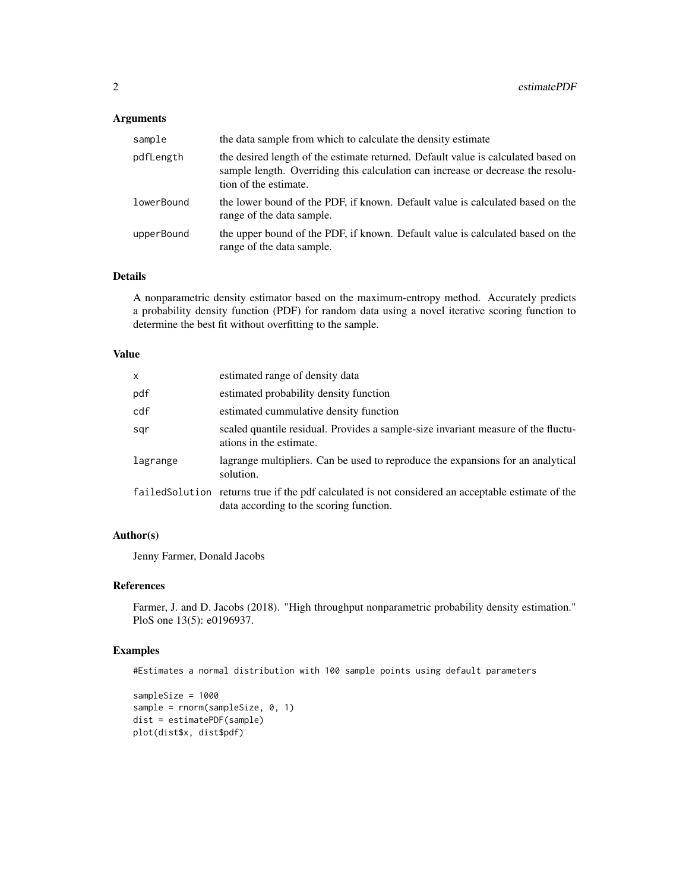#### Arguments

| sample     | the data sample from which to calculate the density estimate                                                                                                                                  |
|------------|-----------------------------------------------------------------------------------------------------------------------------------------------------------------------------------------------|
| pdfLength  | the desired length of the estimate returned. Default value is calculated based on<br>sample length. Overriding this calculation can increase or decrease the resolu-<br>tion of the estimate. |
| lowerBound | the lower bound of the PDF, if known. Default value is calculated based on the<br>range of the data sample.                                                                                   |
| upperBound | the upper bound of the PDF, if known. Default value is calculated based on the<br>range of the data sample.                                                                                   |

#### Details

A nonparametric density estimator based on the maximum-entropy method. Accurately predicts a probability density function (PDF) for random data using a novel iterative scoring function to determine the best fit without overfitting to the sample.

#### Value

| x        | estimated range of density data                                                                                                               |
|----------|-----------------------------------------------------------------------------------------------------------------------------------------------|
| pdf      | estimated probability density function                                                                                                        |
| cdf      | estimated cummulative density function                                                                                                        |
| sqr      | scaled quantile residual. Provides a sample-size invariant measure of the fluctu-<br>ations in the estimate.                                  |
| lagrange | lagrange multipliers. Can be used to reproduce the expansions for an analytical<br>solution.                                                  |
|          | failed Solution returns true if the pdf calculated is not considered an acceptable estimate of the<br>data according to the scoring function. |

#### Author(s)

Jenny Farmer, Donald Jacobs

#### References

Farmer, J. and D. Jacobs (2018). "High throughput nonparametric probability density estimation." PloS one 13(5): e0196937.

#### Examples

#Estimates a normal distribution with 100 sample points using default parameters

```
sampleSize = 1000
sample = rnorm(sampleSize, 0, 1)
dist = estimatePDF(sample)
plot(dist$x, dist$pdf)
```